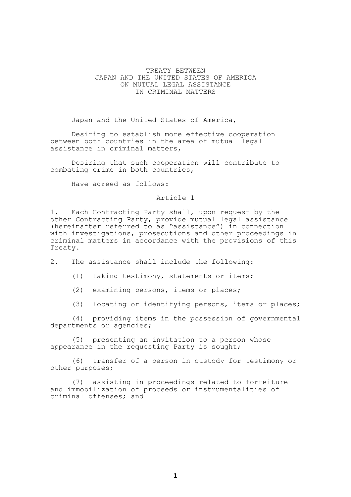## TREATY BETWEEN JAPAN AND THE UNITED STATES OF AMERICA ON MUTUAL LEGAL ASSISTANCE IN CRIMINAL MATTERS

Japan and the United States of America,

 Desiring to establish more effective cooperation between both countries in the area of mutual legal assistance in criminal matters,

 Desiring that such cooperation will contribute to combating crime in both countries,

Have agreed as follows:

Article 1

1. Each Contracting Party shall, upon request by the other Contracting Party, provide mutual legal assistance (hereinafter referred to as "assistance") in connection with investigations, prosecutions and other proceedings in criminal matters in accordance with the provisions of this Treaty.

2. The assistance shall include the following:

- (1) taking testimony, statements or items;
- (2) examining persons, items or places;
- (3) locating or identifying persons, items or places;

 (4) providing items in the possession of governmental departments or agencies;

 (5) presenting an invitation to a person whose appearance in the requesting Party is sought;

 (6) transfer of a person in custody for testimony or other purposes;

 (7) assisting in proceedings related to forfeiture and immobilization of proceeds or instrumentalities of criminal offenses; and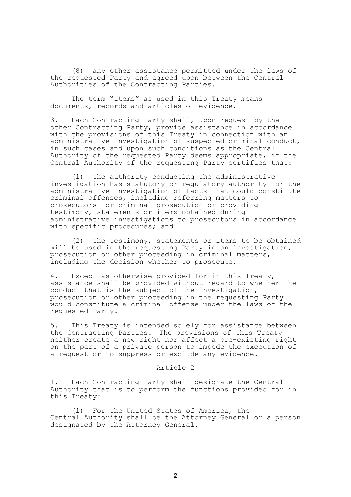(8) any other assistance permitted under the laws of the requested Party and agreed upon between the Central Authorities of the Contracting Parties.

 The term "items" as used in this Treaty means documents, records and articles of evidence.

3. Each Contracting Party shall, upon request by the other Contracting Party, provide assistance in accordance with the provisions of this Treaty in connection with an administrative investigation of suspected criminal conduct, in such cases and upon such conditions as the Central Authority of the requested Party deems appropriate, if the Central Authority of the requesting Party certifies that:

 (1) the authority conducting the administrative investigation has statutory or regulatory authority for the administrative investigation of facts that could constitute criminal offenses, including referring matters to prosecutors for criminal prosecution or providing testimony, statements or items obtained during administrative investigations to prosecutors in accordance with specific procedures; and

 (2) the testimony, statements or items to be obtained will be used in the requesting Party in an investigation, prosecution or other proceeding in criminal matters, including the decision whether to prosecute.

4. Except as otherwise provided for in this Treaty, assistance shall be provided without regard to whether the conduct that is the subject of the investigation, prosecution or other proceeding in the requesting Party would constitute a criminal offense under the laws of the requested Party.

5. This Treaty is intended solely for assistance between the Contracting Parties. The provisions of this Treaty neither create a new right nor affect a pre-existing right on the part of a private person to impede the execution of a request or to suppress or exclude any evidence.

#### Article 2

1. Each Contracting Party shall designate the Central Authority that is to perform the functions provided for in this Treaty:

 (1) For the United States of America, the Central Authority shall be the Attorney General or a person designated by the Attorney General.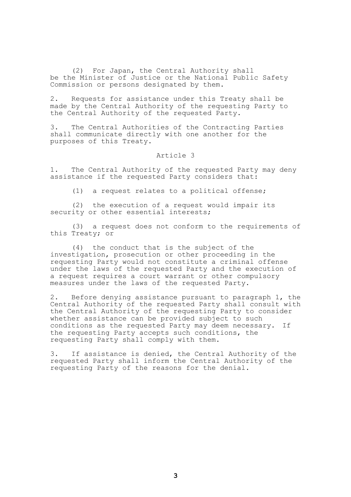(2) For Japan, the Central Authority shall be the Minister of Justice or the National Public Safety Commission or persons designated by them.

2. Requests for assistance under this Treaty shall be made by the Central Authority of the requesting Party to the Central Authority of the requested Party.

3. The Central Authorities of the Contracting Parties shall communicate directly with one another for the purposes of this Treaty.

## Article 3

1. The Central Authority of the requested Party may deny assistance if the requested Party considers that:

(1) a request relates to a political offense;

 (2) the execution of a request would impair its security or other essential interests;

 (3) a request does not conform to the requirements of this Treaty; or

 (4) the conduct that is the subject of the investigation, prosecution or other proceeding in the requesting Party would not constitute a criminal offense under the laws of the requested Party and the execution of a request requires a court warrant or other compulsory measures under the laws of the requested Party.

2. Before denying assistance pursuant to paragraph 1, the Central Authority of the requested Party shall consult with the Central Authority of the requesting Party to consider whether assistance can be provided subject to such conditions as the requested Party may deem necessary. If the requesting Party accepts such conditions, the requesting Party shall comply with them.

3. If assistance is denied, the Central Authority of the requested Party shall inform the Central Authority of the requesting Party of the reasons for the denial.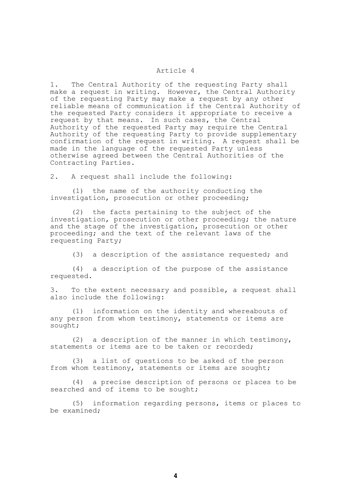1. The Central Authority of the requesting Party shall make a request in writing. However, the Central Authority of the requesting Party may make a request by any other reliable means of communication if the Central Authority of the requested Party considers it appropriate to receive a request by that means. In such cases, the Central Authority of the requested Party may require the Central Authority of the requesting Party to provide supplementary confirmation of the request in writing. A request shall be made in the language of the requested Party unless otherwise agreed between the Central Authorities of the Contracting Parties.

2. A request shall include the following:

 (1) the name of the authority conducting the investigation, prosecution or other proceeding;

 (2) the facts pertaining to the subject of the investigation, prosecution or other proceeding; the nature and the stage of the investigation, prosecution or other proceeding; and the text of the relevant laws of the requesting Party;

(3) a description of the assistance requested; and

 (4) a description of the purpose of the assistance requested.

3. To the extent necessary and possible, a request shall also include the following:

 (1) information on the identity and whereabouts of any person from whom testimony, statements or items are sought;

 (2) a description of the manner in which testimony, statements or items are to be taken or recorded;

 (3) a list of questions to be asked of the person from whom testimony, statements or items are sought;

 (4) a precise description of persons or places to be searched and of items to be sought;

 (5) information regarding persons, items or places to be examined;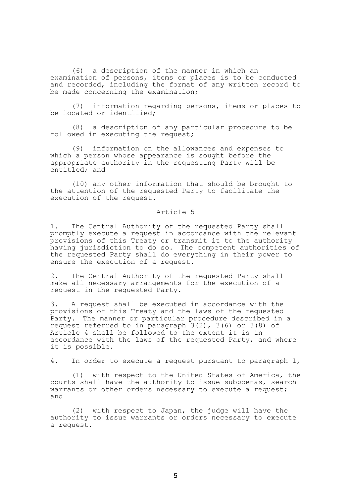(6) a description of the manner in which an examination of persons, items or places is to be conducted and recorded, including the format of any written record to be made concerning the examination;

 (7) information regarding persons, items or places to be located or identified;

 (8) a description of any particular procedure to be followed in executing the request;

 (9) information on the allowances and expenses to which a person whose appearance is sought before the appropriate authority in the requesting Party will be entitled; and

 (10) any other information that should be brought to the attention of the requested Party to facilitate the execution of the request.

### Article 5

1. The Central Authority of the requested Party shall promptly execute a request in accordance with the relevant provisions of this Treaty or transmit it to the authority having jurisdiction to do so. The competent authorities of the requested Party shall do everything in their power to ensure the execution of a request.

2. The Central Authority of the requested Party shall make all necessary arrangements for the execution of a request in the requested Party.

3. A request shall be executed in accordance with the provisions of this Treaty and the laws of the requested Party. The manner or particular procedure described in a request referred to in paragraph 3(2), 3(6) or 3(8) of Article 4 shall be followed to the extent it is in accordance with the laws of the requested Party, and where it is possible.

4. In order to execute a request pursuant to paragraph 1,

 (1) with respect to the United States of America, the courts shall have the authority to issue subpoenas, search warrants or other orders necessary to execute a request; and

 (2) with respect to Japan, the judge will have the authority to issue warrants or orders necessary to execute a request.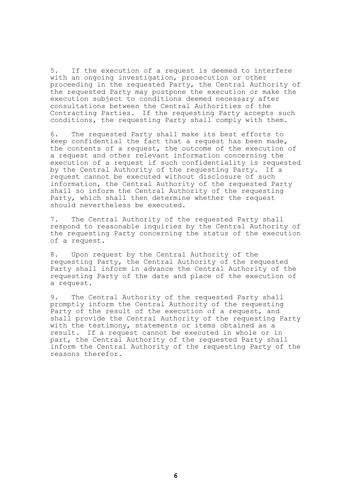5. If the execution of a request is deemed to interfere with an ongoing investigation, prosecution or other proceeding in the requested Party, the Central Authority of the requested Party may postpone the execution or make the execution subject to conditions deemed necessary after consultations between the Central Authorities of the Contracting Parties. If the requesting Party accepts such conditions, the requesting Party shall comply with them.

6. The requested Party shall make its best efforts to keep confidential the fact that a request has been made, the contents of a request, the outcome of the execution of a request and other relevant information concerning the execution of a request if such confidentiality is requested by the Central Authority of the requesting Party. If a request cannot be executed without disclosure of such information, the Central Authority of the requested Party shall so inform the Central Authority of the requesting Party, which shall then determine whether the request should nevertheless be executed.

7. The Central Authority of the requested Party shall respond to reasonable inquiries by the Central Authority of the requesting Party concerning the status of the execution of a request.

8. Upon request by the Central Authority of the requesting Party, the Central Authority of the requested Party shall inform in advance the Central Authority of the requesting Party of the date and place of the execution of a request.

9. The Central Authority of the requested Party shall promptly inform the Central Authority of the requesting Party of the result of the execution of a request, and shall provide the Central Authority of the requesting Party with the testimony, statements or items obtained as a result. If a request cannot be executed in whole or in part, the Central Authority of the requested Party shall inform the Central Authority of the requesting Party of the reasons therefor.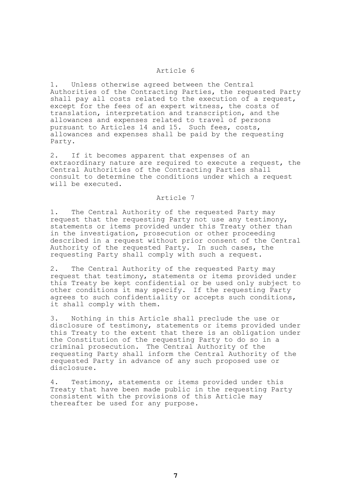1. Unless otherwise agreed between the Central Authorities of the Contracting Parties, the requested Party shall pay all costs related to the execution of a request, except for the fees of an expert witness, the costs of translation, interpretation and transcription, and the allowances and expenses related to travel of persons pursuant to Articles 14 and 15. Such fees, costs, allowances and expenses shall be paid by the requesting Party.

2. If it becomes apparent that expenses of an extraordinary nature are required to execute a request, the Central Authorities of the Contracting Parties shall consult to determine the conditions under which a request will be executed.

# Article 7

1. The Central Authority of the requested Party may request that the requesting Party not use any testimony, statements or items provided under this Treaty other than in the investigation, prosecution or other proceeding described in a request without prior consent of the Central Authority of the requested Party. In such cases, the requesting Party shall comply with such a request.

2. The Central Authority of the requested Party may request that testimony, statements or items provided under this Treaty be kept confidential or be used only subject to other conditions it may specify. If the requesting Party agrees to such confidentiality or accepts such conditions, it shall comply with them.

3. Nothing in this Article shall preclude the use or disclosure of testimony, statements or items provided under this Treaty to the extent that there is an obligation under the Constitution of the requesting Party to do so in a criminal prosecution. The Central Authority of the requesting Party shall inform the Central Authority of the requested Party in advance of any such proposed use or disclosure.

4. Testimony, statements or items provided under this Treaty that have been made public in the requesting Party consistent with the provisions of this Article may thereafter be used for any purpose.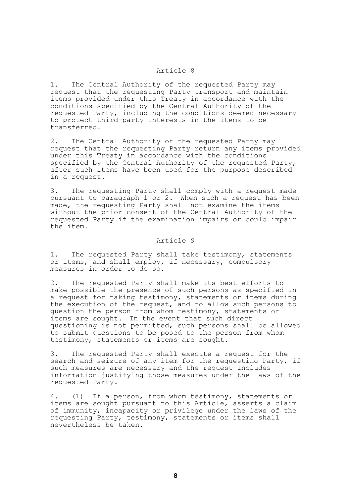1. The Central Authority of the requested Party may request that the requesting Party transport and maintain items provided under this Treaty in accordance with the conditions specified by the Central Authority of the requested Party, including the conditions deemed necessary to protect third-party interests in the items to be transferred.

2. The Central Authority of the requested Party may request that the requesting Party return any items provided under this Treaty in accordance with the conditions specified by the Central Authority of the requested Party, after such items have been used for the purpose described in a request.

3. The requesting Party shall comply with a request made pursuant to paragraph 1 or 2. When such a request has been made, the requesting Party shall not examine the items without the prior consent of the Central Authority of the requested Party if the examination impairs or could impair the item.

#### Article 9

1. The requested Party shall take testimony, statements or items, and shall employ, if necessary, compulsory measures in order to do so.

2. The requested Party shall make its best efforts to make possible the presence of such persons as specified in a request for taking testimony, statements or items during the execution of the request, and to allow such persons to question the person from whom testimony, statements or items are sought. In the event that such direct questioning is not permitted, such persons shall be allowed to submit questions to be posed to the person from whom testimony, statements or items are sought.

3. The requested Party shall execute a request for the search and seizure of any item for the requesting Party, if such measures are necessary and the request includes information justifying those measures under the laws of the requested Party.

4. (1) If a person, from whom testimony, statements or items are sought pursuant to this Article, asserts a claim of immunity, incapacity or privilege under the laws of the requesting Party, testimony, statements or items shall nevertheless be taken.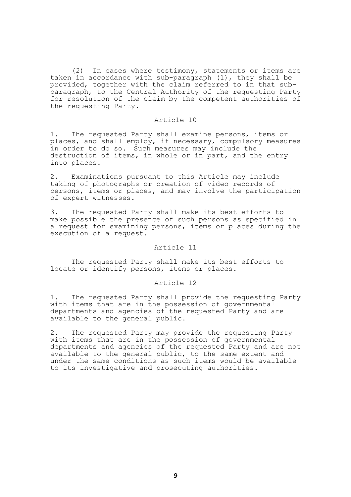(2) In cases where testimony, statements or items are taken in accordance with sub-paragraph (1), they shall be provided, together with the claim referred to in that subparagraph, to the Central Authority of the requesting Party for resolution of the claim by the competent authorities of the requesting Party.

# Article 10

1. The requested Party shall examine persons, items or places, and shall employ, if necessary, compulsory measures in order to do so. Such measures may include the destruction of items, in whole or in part, and the entry into places.

2. Examinations pursuant to this Article may include taking of photographs or creation of video records of persons, items or places, and may involve the participation of expert witnesses.

3. The requested Party shall make its best efforts to make possible the presence of such persons as specified in a request for examining persons, items or places during the execution of a request.

### Article 11

 The requested Party shall make its best efforts to locate or identify persons, items or places.

#### Article 12

1. The requested Party shall provide the requesting Party with items that are in the possession of governmental departments and agencies of the requested Party and are available to the general public.

2. The requested Party may provide the requesting Party with items that are in the possession of governmental departments and agencies of the requested Party and are not available to the general public, to the same extent and under the same conditions as such items would be available to its investigative and prosecuting authorities.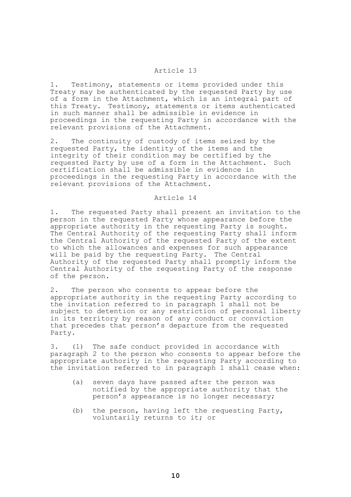1. Testimony, statements or items provided under this Treaty may be authenticated by the requested Party by use of a form in the Attachment, which is an integral part of this Treaty. Testimony, statements or items authenticated in such manner shall be admissible in evidence in proceedings in the requesting Party in accordance with the relevant provisions of the Attachment.

2. The continuity of custody of items seized by the requested Party, the identity of the items and the integrity of their condition may be certified by the requested Party by use of a form in the Attachment. Such certification shall be admissible in evidence in proceedings in the requesting Party in accordance with the relevant provisions of the Attachment.

#### Article 14

1. The requested Party shall present an invitation to the person in the requested Party whose appearance before the appropriate authority in the requesting Party is sought. The Central Authority of the requesting Party shall inform the Central Authority of the requested Party of the extent to which the allowances and expenses for such appearance will be paid by the requesting Party. The Central Authority of the requested Party shall promptly inform the Central Authority of the requesting Party of the response of the person.

2. The person who consents to appear before the appropriate authority in the requesting Party according to the invitation referred to in paragraph 1 shall not be subject to detention or any restriction of personal liberty in its territory by reason of any conduct or conviction that precedes that person's departure from the requested Party.

3. (1) The safe conduct provided in accordance with paragraph 2 to the person who consents to appear before the appropriate authority in the requesting Party according to the invitation referred to in paragraph 1 shall cease when:

- (a) seven days have passed after the person was notified by the appropriate authority that the person's appearance is no longer necessary;
- (b) the person, having left the requesting Party, voluntarily returns to it; or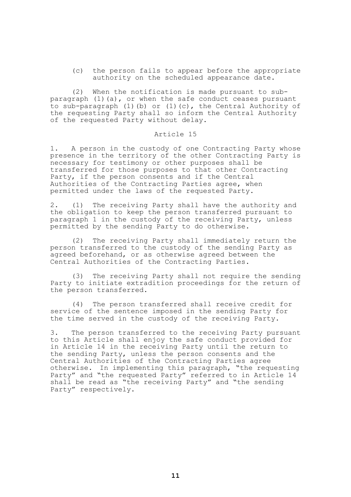(c) the person fails to appear before the appropriate authority on the scheduled appearance date.

 (2) When the notification is made pursuant to subparagraph (1)(a), or when the safe conduct ceases pursuant to sub-paragraph (1)(b) or (1)(c), the Central Authority of the requesting Party shall so inform the Central Authority of the requested Party without delay.

#### Article 15

1. A person in the custody of one Contracting Party whose presence in the territory of the other Contracting Party is necessary for testimony or other purposes shall be transferred for those purposes to that other Contracting Party, if the person consents and if the Central Authorities of the Contracting Parties agree, when permitted under the laws of the requested Party.

2. (1) The receiving Party shall have the authority and the obligation to keep the person transferred pursuant to paragraph 1 in the custody of the receiving Party, unless permitted by the sending Party to do otherwise.

 (2) The receiving Party shall immediately return the person transferred to the custody of the sending Party as agreed beforehand, or as otherwise agreed between the Central Authorities of the Contracting Parties.

 (3) The receiving Party shall not require the sending Party to initiate extradition proceedings for the return of the person transferred.

 (4) The person transferred shall receive credit for service of the sentence imposed in the sending Party for the time served in the custody of the receiving Party.

3. The person transferred to the receiving Party pursuant to this Article shall enjoy the safe conduct provided for in Article 14 in the receiving Party until the return to the sending Party, unless the person consents and the Central Authorities of the Contracting Parties agree otherwise. In implementing this paragraph, "the requesting Party" and "the requested Party" referred to in Article 14 shall be read as "the receiving Party" and "the sending Party" respectively.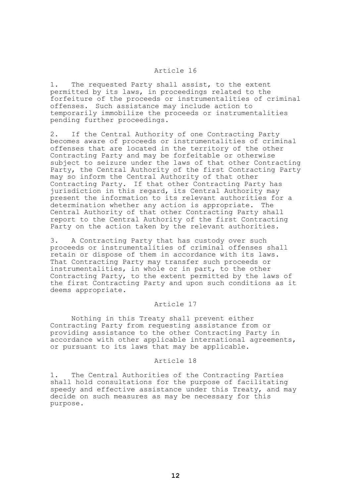1. The requested Party shall assist, to the extent permitted by its laws, in proceedings related to the forfeiture of the proceeds or instrumentalities of criminal offenses. Such assistance may include action to temporarily immobilize the proceeds or instrumentalities pending further proceedings.

2. If the Central Authority of one Contracting Party becomes aware of proceeds or instrumentalities of criminal offenses that are located in the territory of the other Contracting Party and may be forfeitable or otherwise subject to seizure under the laws of that other Contracting Party, the Central Authority of the first Contracting Party may so inform the Central Authority of that other Contracting Party. If that other Contracting Party has jurisdiction in this regard, its Central Authority may present the information to its relevant authorities for a determination whether any action is appropriate. The Central Authority of that other Contracting Party shall report to the Central Authority of the first Contracting Party on the action taken by the relevant authorities.

3. A Contracting Party that has custody over such proceeds or instrumentalities of criminal offenses shall retain or dispose of them in accordance with its laws. That Contracting Party may transfer such proceeds or instrumentalities, in whole or in part, to the other Contracting Party, to the extent permitted by the laws of the first Contracting Party and upon such conditions as it deems appropriate.

## Article 17

 Nothing in this Treaty shall prevent either Contracting Party from requesting assistance from or providing assistance to the other Contracting Party in accordance with other applicable international agreements, or pursuant to its laws that may be applicable.

## Article 18

1. The Central Authorities of the Contracting Parties shall hold consultations for the purpose of facilitating speedy and effective assistance under this Treaty, and may decide on such measures as may be necessary for this purpose.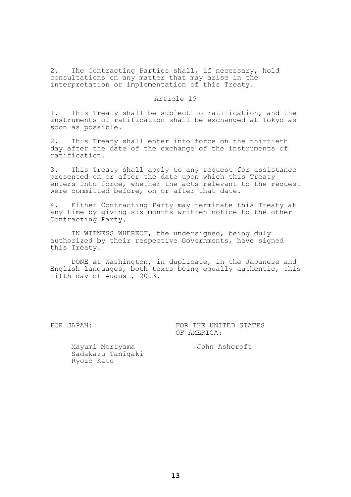2. The Contracting Parties shall, if necessary, hold consultations on any matter that may arise in the interpretation or implementation of this Treaty.

#### Article 19

1. This Treaty shall be subject to ratification, and the instruments of ratification shall be exchanged at Tokyo as soon as possible.

2. This Treaty shall enter into force on the thirtieth day after the date of the exchange of the instruments of ratification.

3. This Treaty shall apply to any request for assistance presented on or after the date upon which this Treaty enters into force, whether the acts relevant to the request were committed before, on or after that date.

4. Either Contracting Party may terminate this Treaty at any time by giving six months written notice to the other Contracting Party.

 IN WITNESS WHEREOF, the undersigned, being duly authorized by their respective Governments, have signed this Treaty.

 DONE at Washington, in duplicate, in the Japanese and English languages, both texts being equally authentic, this fifth day of August, 2003.

FOR JAPAN: FOR THE UNITED STATES OF AMERICA:

 Mayumi Moriyama John Ashcroft Sadakazu Tanigaki Ryozo Kato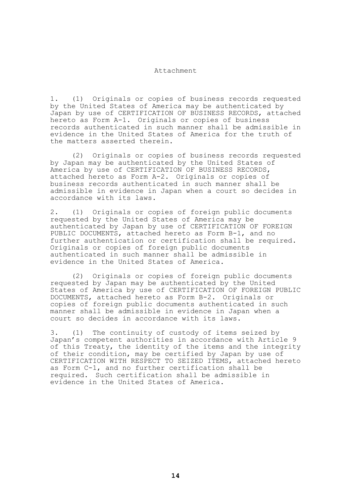#### Attachment

1. (1) Originals or copies of business records requested by the United States of America may be authenticated by Japan by use of CERTIFICATION OF BUSINESS RECORDS, attached hereto as Form A-1. Originals or copies of business records authenticated in such manner shall be admissible in evidence in the United States of America for the truth of the matters asserted therein.

 (2) Originals or copies of business records requested by Japan may be authenticated by the United States of America by use of CERTIFICATION OF BUSINESS RECORDS, attached hereto as Form A-2. Originals or copies of business records authenticated in such manner shall be admissible in evidence in Japan when a court so decides in accordance with its laws.

2. (1) Originals or copies of foreign public documents requested by the United States of America may be authenticated by Japan by use of CERTIFICATION OF FOREIGN PUBLIC DOCUMENTS, attached hereto as Form B-1, and no further authentication or certification shall be required. Originals or copies of foreign public documents authenticated in such manner shall be admissible in evidence in the United States of America.

 (2) Originals or copies of foreign public documents requested by Japan may be authenticated by the United States of America by use of CERTIFICATION OF FOREIGN PUBLIC DOCUMENTS, attached hereto as Form B-2. Originals or copies of foreign public documents authenticated in such manner shall be admissible in evidence in Japan when a court so decides in accordance with its laws.

3. (1) The continuity of custody of items seized by Japan's competent authorities in accordance with Article 9 of this Treaty, the identity of the items and the integrity of their condition, may be certified by Japan by use of CERTIFICATION WITH RESPECT TO SEIZED ITEMS, attached hereto as Form C-1, and no further certification shall be required. Such certification shall be admissible in evidence in the United States of America.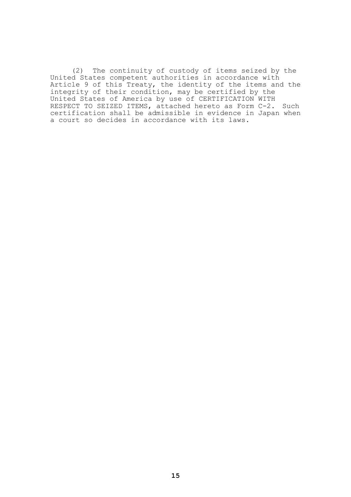(2) The continuity of custody of items seized by the United States competent authorities in accordance with Article 9 of this Treaty, the identity of the items and the integrity of their condition, may be certified by the United States of America by use of CERTIFICATION WITH RESPECT TO SEIZED ITEMS, attached hereto as Form C-2. Such certification shall be admissible in evidence in Japan when a court so decides in accordance with its laws.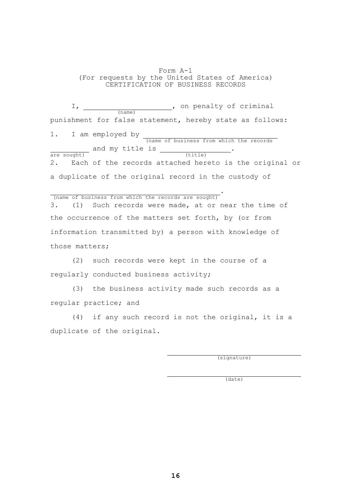## Form A-1 (For requests by the United States of America) CERTIFICATION OF BUSINESS RECORDS

on penalty of criminal  $I$ ,  $\overline{\qquad \qquad }$  (name) punishment for false statement, hereby state as follows: 1. I am employed by (name of business from which the records  $\frac{1}{\text{area} \cdot \text{triangle}}$  and my title is  $\frac{1}{\text{triangle}}$ . 2. Each of the records attached hereto is the original or a duplicate of the original record in the custody of

 . (name of business from which the records are sought) 3. (1) Such records were made, at or near the time of the occurrence of the matters set forth, by (or from information transmitted by) a person with knowledge of those matters;

 (2) such records were kept in the course of a regularly conducted business activity;

 (3) the business activity made such records as a regular practice; and

 (4) if any such record is not the original, it is a duplicate of the original.

(signature)

date) (date)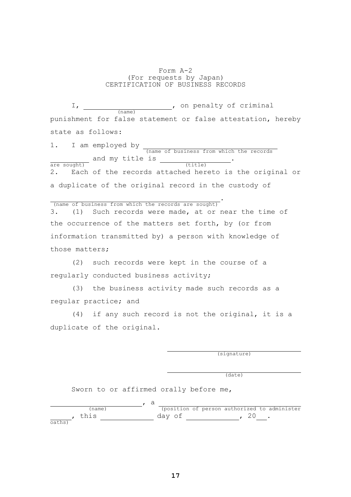## Form A-2 (For requests by Japan) CERTIFICATION OF BUSINESS RECORDS

I, \_\_\_\_\_\_\_\_\_\_\_\_\_\_\_\_\_\_\_\_, on penalty of criminal (name) punishment for false statement or false attestation, hereby state as follows:

1. I am employed by (name of business from which the records  $\frac{1}{\text{area} \cdot \text{z}}$  and my title is  $\frac{1}{\text{triangle} \cdot \text{z}}$ 2. Each of the records attached hereto is the original or a duplicate of the original record in the custody of

# .<br>(name of business from which the records are sought)

3. (1) Such records were made, at or near the time of the occurrence of the matters set forth, by (or from information transmitted by) a person with knowledge of those matters;

 (2) such records were kept in the course of a regularly conducted business activity;

 (3) the business activity made such records as a regular practice; and

 (4) if any such record is not the original, it is a duplicate of the original.

(signature)

(date)

Sworn to or affirmed orally before me,

, and the set of  $\alpha$  and  $\alpha$  (name) (position of person authorized to administer  $\frac{1}{\text{paths}}$ , this  $\frac{1}{\text{days of}}$  day of  $\frac{20}{\text{days of}}$ .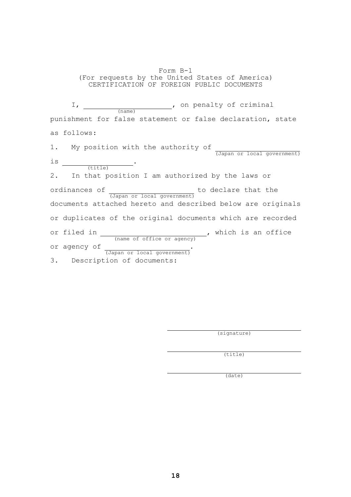## Form B-1 (For requests by the United States of America) CERTIFICATION OF FOREIGN PUBLIC DOCUMENTS

, on penalty of criminal  $I$ ,  $\overline{I}$  (name) punishment for false statement or false declaration, state as follows: 1. My position with the authority of (Japan or local government)  $is$   $(title)$ 2. In that position I am authorized by the laws or ordinances of \_\_\_\_\_\_\_\_\_\_\_\_\_\_\_\_\_\_\_\_\_\_\_ to declare that the (Japan or local government) documents attached hereto and described below are originals or duplicates of the original documents which are recorded or filed in \_\_\_\_\_\_\_\_\_\_\_\_\_\_\_\_\_\_\_\_\_\_\_\_\_\_\_\_\_\_\_, which is an office (name of office or agency) or agency of  $\frac{1}{\text{(Japan or local government)}}$ . 3. Description of documents:

(signature)

(title)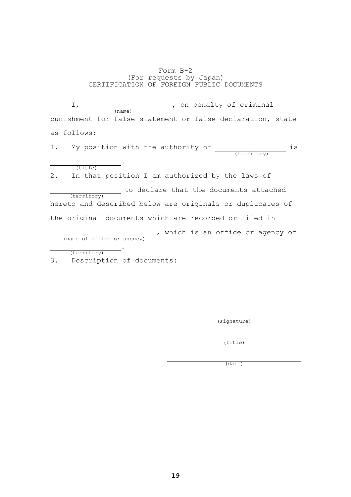# Form B-2 (For requests by Japan) CERTIFICATION OF FOREIGN PUBLIC DOCUMENTS

I, *\_\_\_\_\_\_\_\_\_\_\_\_\_\_\_\_\_\_\_\_\_,* on penalty of criminal (name) punishment for false statement or false declaration, state as follows:

1. My position with the authority of 1. The manuscript of the manuscript of  $\sim$ (territory)

 $\overbrace{\text{(title)}}$ 2. In that position I am authorized by the laws of to declare that the documents attached (territory) hereto and described below are originals or duplicates of the original documents which are recorded or filed in , which is an office or agency of (name of office or agency)

 $\overline{\phantom{a}}$  (territory)

3. Description of documents:

(signature)

(title)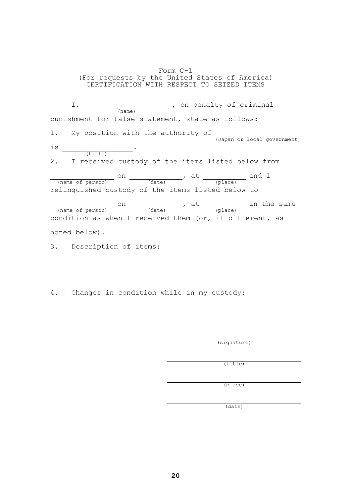Form C-1 (For requests by the United States of America) CERTIFICATION WITH RESPECT TO SEIZED ITEMS I, *\_\_\_\_\_\_\_\_\_\_\_\_\_\_\_\_\_\_\_\_\_,* on penalty of criminal (name) punishment for false statement, state as follows: 1. My position with the authority of  $\frac{1}{\sqrt{2\pi}}$  (Japan or local government)  $is$   $(title)$ . 2. I received custody of the items listed below from on , at and I (name of person) (date) (place) relinquished custody of the items listed below to on , at in the same (name of person) (date) (place) condition as when I received them (or, if different, as noted below). 3. Description of items:

4. Changes in condition while in my custody:

(signature)

(title)

(place)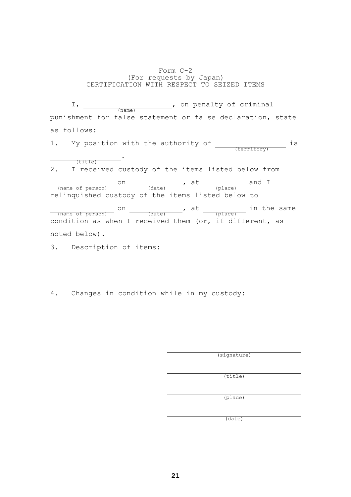# Form C-2 (For requests by Japan) CERTIFICATION WITH RESPECT TO SEIZED ITEMS

I, *\_\_\_\_\_\_\_\_\_\_\_\_\_\_\_\_\_\_\_\_\_,* on penalty of criminal (name) punishment for false statement or false declaration, state as follows: 1. My position with the authority of 1. The manuscript of the manuscript of  $\sim$ (territory)  $\overbrace{\text{ (title)}}$ . 2. I received custody of the items listed below from on , at and I (name of person) (date) (place) relinquished custody of the items listed below to on , at in the same (name of person) (date) (place) condition as when I received them (or, if different, as noted below). 3. Description of items:

4. Changes in condition while in my custody:

(signature)

(title)

(place)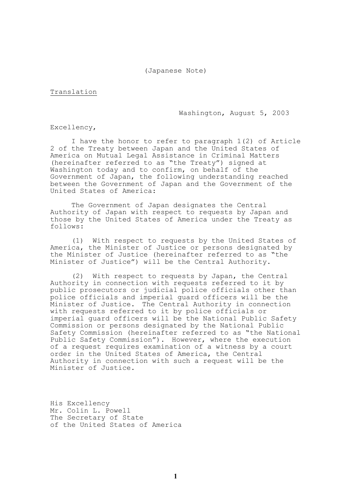(Japanese Note)

Translation

Washington, August 5, 2003

Excellency,

 I have the honor to refer to paragraph 1(2) of Article 2 of the Treaty between Japan and the United States of America on Mutual Legal Assistance in Criminal Matters (hereinafter referred to as "the Treaty") signed at Washington today and to confirm, on behalf of the Government of Japan, the following understanding reached between the Government of Japan and the Government of the United States of America:

 The Government of Japan designates the Central Authority of Japan with respect to requests by Japan and those by the United States of America under the Treaty as follows:

 (1) With respect to requests by the United States of America, the Minister of Justice or persons designated by the Minister of Justice (hereinafter referred to as "the Minister of Justice") will be the Central Authority.

 (2) With respect to requests by Japan, the Central Authority in connection with requests referred to it by public prosecutors or judicial police officials other than police officials and imperial guard officers will be the Minister of Justice. The Central Authority in connection with requests referred to it by police officials or imperial guard officers will be the National Public Safety Commission or persons designated by the National Public Safety Commission (hereinafter referred to as "the National Public Safety Commission"). However, where the execution of a request requires examination of a witness by a court order in the United States of America, the Central Authority in connection with such a request will be the Minister of Justice.

His Excellency Mr. Colin L. Powell The Secretary of State of the United States of America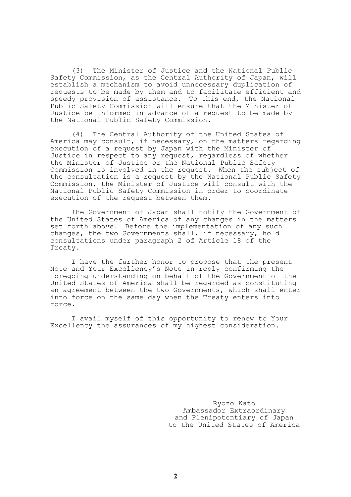(3) The Minister of Justice and the National Public Safety Commission, as the Central Authority of Japan, will establish a mechanism to avoid unnecessary duplication of requests to be made by them and to facilitate efficient and speedy provision of assistance. To this end, the National Public Safety Commission will ensure that the Minister of Justice be informed in advance of a request to be made by the National Public Safety Commission.

 (4) The Central Authority of the United States of America may consult, if necessary, on the matters regarding execution of a request by Japan with the Minister of Justice in respect to any request, regardless of whether the Minister of Justice or the National Public Safety Commission is involved in the request. When the subject of the consultation is a request by the National Public Safety Commission, the Minister of Justice will consult with the National Public Safety Commission in order to coordinate execution of the request between them.

 The Government of Japan shall notify the Government of the United States of America of any changes in the matters set forth above. Before the implementation of any such changes, the two Governments shall, if necessary, hold consultations under paragraph 2 of Article 18 of the Treaty.

 I have the further honor to propose that the present Note and Your Excellency's Note in reply confirming the foregoing understanding on behalf of the Government of the United States of America shall be regarded as constituting an agreement between the two Governments, which shall enter into force on the same day when the Treaty enters into force.

 I avail myself of this opportunity to renew to Your Excellency the assurances of my highest consideration.

> Ryozo Kato Ambassador Extraordinary and Plenipotentiary of Japan to the United States of America